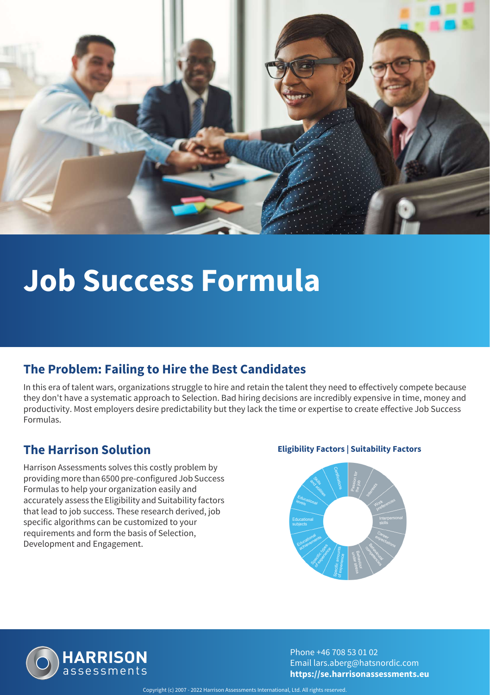

# **Job Success Formula**

#### **The Problem: Failing to Hire the Best Candidates**

In this era of talent wars, organizations struggle to hire and retain the talent they need to effectively compete because they don't have a systematic approach to Selection. Bad hiring decisions are incredibly expensive in time, money and productivity. Most employers desire predictability but they lack the time or expertise to create effective Job Success Formulas.

Harrison Assessments solves this costly problem by providing more than 6500 pre-configured Job Success Formulas to help your organization easily and accurately assess the Eligibility and Suitability factors that lead to job success. These research derived, job specific algorithms can be customized to your requirements and form the basis of Selection, Development and Engagement.

#### **The Harrison Solution Eligibility Factors | Suitability Factors**





Phone +46 708 53 01 02 Email lars.aberg@hatsnordic.com **https://se.harrisonassessments.eu**